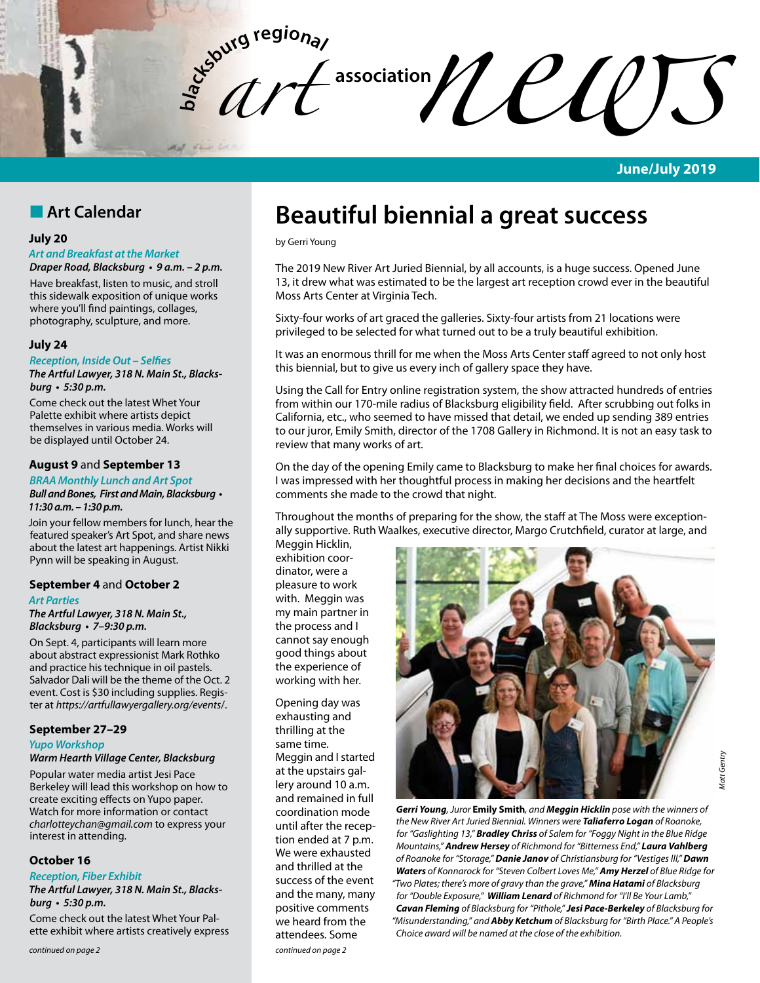**bla** *art*  **association**  $\mathcal{U}\ell U$ 

# **n** Art Calendar

### **July 20**

# *Art and Breakfast at the Market*

**Draper Road, Blacksburg • 9 a.m. – 2 p.m.**  Have breakfast, listen to music, and stroll this sidewalk exposition of unique works where you'll find paintings, collages, photography, sculpture, and more.

## **July 24**

**Reception, Inside Out – Selfies**

**The Artful Lawyer, 318 N. Main St., Blacks****burg • 5:30 p.m.** 

Come check out the latest Whet Your Palette exhibit where artists depict themselves in various media. Works will be displayed until October 24.

#### **August 9** and **September 13**

#### **BRAA Monthly Lunch and Art Spot Bull and Bones, First and Main, Blacksburg • 11:30 a.m. – 1:30 p.m.**

Join your fellow members for lunch, hear the featured speaker's Art Spot, and share news about the latest art happenings. Artist Nikki Pynn will be speaking in August.

### **September 4** and **October 2** *Art Parties*

**The Artful Lawyer, 318 N. Main St., Blacksburg • 7–9:30 p.m.** 

On Sept. 4, participants will learn more about abstract expressionist Mark Rothko and practice his technique in oil pastels. Salvador Dali will be the theme of the Oct. 2 event. Cost is \$30 including supplies. Register at *https://artfullawyergallery.org/events*/.

## **September 27–29**

#### *Yupo Workshop*

#### **Warm Hearth Village Center, Blacksburg**

Popular water media artist Jesi Pace Berkeley will lead this workshop on how to create exciting effects on Yupo paper. Watch for more information or contact *charlotteychan@gmail.com* to express your interest in attending.

## **October 16**

#### *Reception, Fiber Exhibit* **The Artful Lawyer, 318 N. Main St., Blacks****burg • 5:30 p.m.**

Come check out the latest Whet Your Palette exhibit where artists creatively express

# **Beautiful biennial a great success**

by Gerri Young

The 2019 New River Art Juried Biennial, by all accounts, is a huge success. Opened June 13, it drew what was estimated to be the largest art reception crowd ever in the beautiful Moss Arts Center at Virginia Tech.

Sixty-four works of art graced the galleries. Sixty-four artists from 21 locations were privileged to be selected for what turned out to be a truly beautiful exhibition.

It was an enormous thrill for me when the Moss Arts Center staff agreed to not only host this biennial, but to give us every inch of gallery space they have.

Using the Call for Entry online registration system, the show attracted hundreds of entries from within our 170-mile radius of Blacksburg eligibility field. After scrubbing out folks in California, etc., who seemed to have missed that detail, we ended up sending 389 entries to our juror, Emily Smith, director of the 1708 Gallery in Richmond. It is not an easy task to review that many works of art.

On the day of the opening Emily came to Blacksburg to make her final choices for awards. I was impressed with her thoughtful process in making her decisions and the heartfelt comments she made to the crowd that night.

Throughout the months of preparing for the show, the staff at The Moss were exceptionally supportive. Ruth Waalkes, executive director, Margo Crutchfield, curator at large, and

Meggin Hicklin, exhibition coordinator, were a pleasure to work with. Meggin was my main partner in the process and I cannot say enough good things about the experience of working with her.

*continued on page 2 continued on page 2* Opening day was exhausting and thrilling at the same time. Meggin and I started at the upstairs gallery around 10 a.m. and remained in full coordination mode until after the reception ended at 7 p.m. We were exhausted and thrilled at the success of the event and the many, many positive comments we heard from the attendees. Some



*Gerri Young, Juror* **Emily Smith***, and Meggin Hicklin pose with the winners of the New River Art Juried Biennial. Winners were Taliaferro Logan of Roanoke, for "Gaslighting 13," Bradley Chriss of Salem for "Foggy Night in the Blue Ridge Mountains," Andrew Hersey of Richmond for "Bitterness End," Laura Vahlberg of Roanoke for "Storage," Danie Janov of Christiansburg for "Vestiges lll," Dawn Waters of Konnarock for "Steven Colbert Loves Me," Amy Herzel of Blue Ridge for "Two Plates; there's more of gravy than the grave," Mina Hatami of Blacksburg for "Double Exposure," William Lenard of Richmond for "I'll Be Your Lamb," Cavan Fleming of Blacksburg for "Pithole," Jesi Pace-Berkeley of Blacksburg for "Misunderstanding," and Abby Ketchum of Blacksburg for "Birth Place." A People's Choice award will be named at the close of the exhibition.*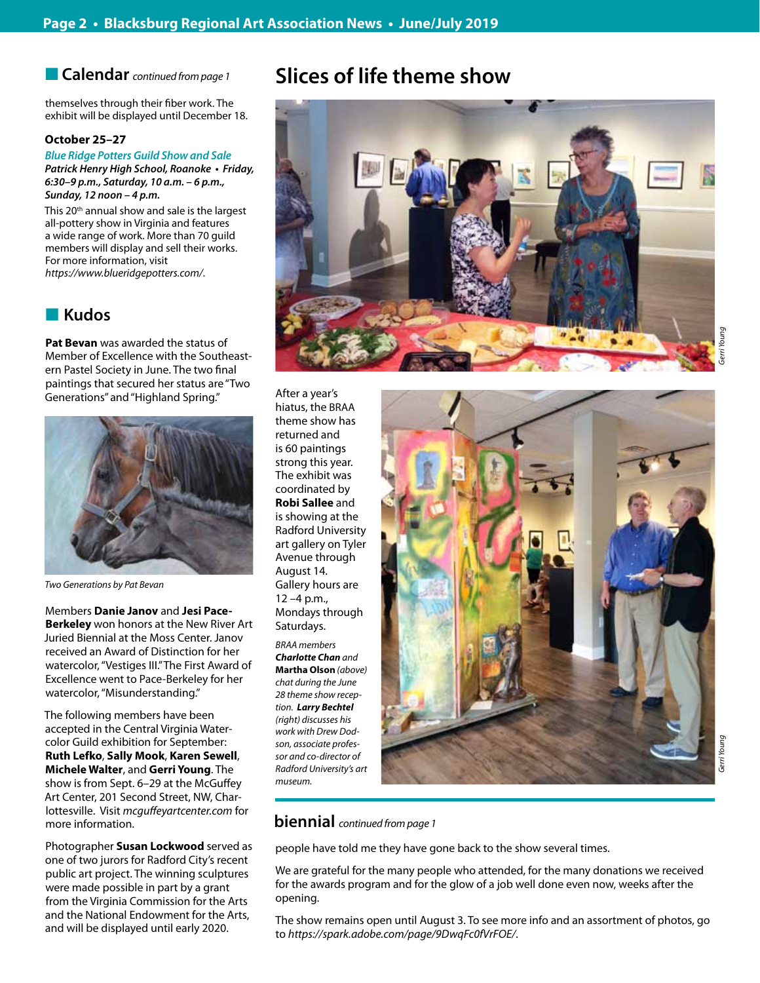**n Calendar** *continued from page 1* 

themselves through their fiber work. The exhibit will be displayed until December 18.

## **October 25–27**

**Blue Ridge Potters Guild Show and Sale Patrick Henry High School, Roanoke • Friday, 6:30–9 p.m., Saturday, 10 a.m. – 6 p.m., Sunday, 12 noon – 4 p.m.**

This 20<sup>th</sup> annual show and sale is the largest all-pottery show in Virginia and features a wide range of work. More than 70 guild members will display and sell their works. For more information, visit *https://www.blueridgepotters.com/*.

# n **Kudos**

**Pat Bevan** was awarded the status of Member of Excellence with the Southeastern Pastel Society in June. The two final paintings that secured her status are "Two Generations" and "Highland Spring."



*Two Generations by Pat Bevan*

Members **Danie Janov** and **Jesi Pace-Berkeley** won honors at the New River Art Juried Biennial at the Moss Center. Janov received an Award of Distinction for her watercolor, "Vestiges III." The First Award of Excellence went to Pace-Berkeley for her watercolor, "Misunderstanding."

The following members have been accepted in the Central Virginia Watercolor Guild exhibition for September: **Ruth Lefko**, **Sally Mook**, **Karen Sewell**, **Michele Walter**, and **Gerri Young**. The show is from Sept. 6–29 at the McGuffey Art Center, 201 Second Street, NW, Charlottesville. Visit *mcguffeyartcenter.com* for more information.

Photographer **Susan Lockwood** served as one of two jurors for Radford City's recent public art project. The winning sculptures were made possible in part by a grant from the Virginia Commission for the Arts and the National Endowment for the Arts, and will be displayed until early 2020.

# **Slices of life theme show**



*Gerri Young Gerri Young*

After a year's hiatus, the BRAA theme show has returned and is 60 paintings strong this year. The exhibit was coordinated by **Robi Sallee** and is showing at the Radford University art gallery on Tyler Avenue through August 14. Gallery hours are 12 –4 p.m., Mondays through Saturdays.

*BRAA members Charlotte Chan and*  **Martha Olson** *(above) chat during the June 28 theme show reception. Larry Bechtel (right) discusses his work with Drew Dodson, associate professor and co-director of Radford University's art museum.*



# **biennial** *continued from page 1*

people have told me they have gone back to the show several times.

We are grateful for the many people who attended, for the many donations we received for the awards program and for the glow of a job well done even now, weeks after the opening.

The show remains open until August 3. To see more info and an assortment of photos, go to *https://spark.adobe.com/page/9DwqFc0fVrFOE/*.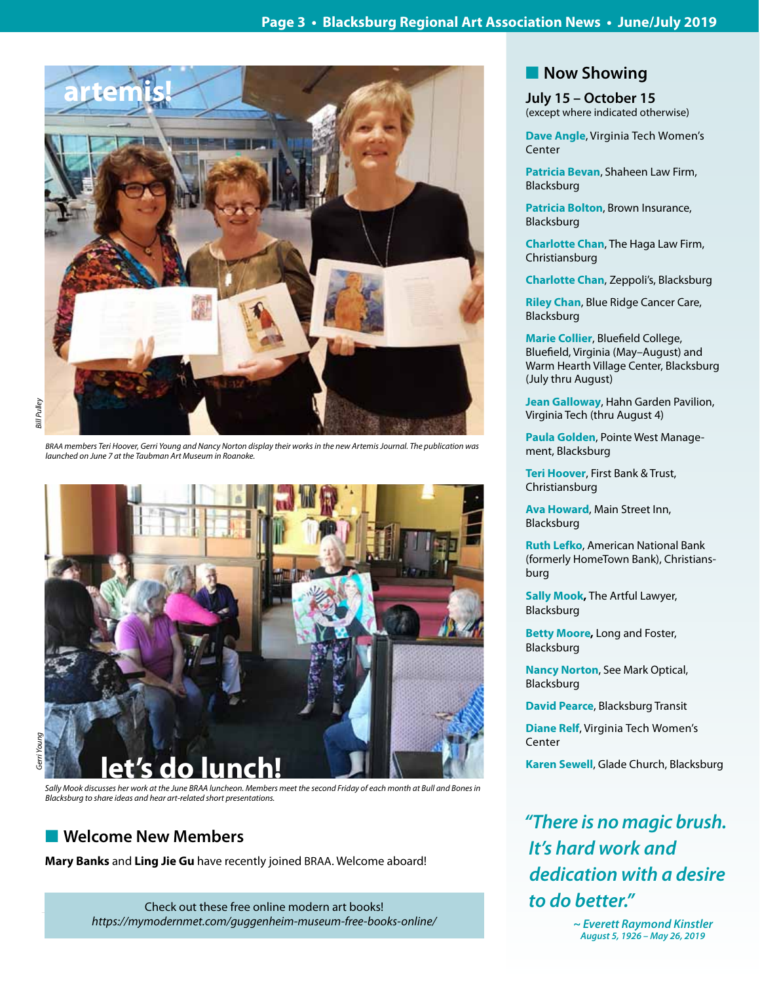

*BRAA members Teri Hoover, Gerri Young and Nancy Norton display their works in the new Artemis Journal. The publication was launched on June 7 at the Taubman Art Museum in Roanoke.*



*Sally Mook discusses her work at the June BRAA luncheon. Members meet the second Friday of each month at Bull and Bones in Blacksburg to share ideas and hear art-related short presentations.*

# **N** Welcome New Members

**Mary Banks** and **Ling Jie Gu** have recently joined BRAA. Welcome aboard!

Check out these free online modern art books! *https://mymodernmet.com/guggenheim-museum-free-books-online/*

# **Now Showing**

**July 15 – October 15** (except where indicated otherwise)

**Dave Angle**, Virginia Tech Women's Center

**Patricia Bevan**, Shaheen Law Firm, Blacksburg

**Patricia Bolton**, Brown Insurance, Blacksburg

**Charlotte Chan**, The Haga Law Firm, Christiansburg

**Charlotte Chan**, Zeppoli's, Blacksburg

**Riley Chan**, Blue Ridge Cancer Care, Blacksburg

**Marie Collier**, Bluefield College, Bluefield, Virginia (May–August) and Warm Hearth Village Center, Blacksburg (July thru August)

**Jean Galloway**, Hahn Garden Pavilion, Virginia Tech (thru August 4)

**Paula Golden**, Pointe West Management, Blacksburg

**Teri Hoover**, First Bank & Trust, Christiansburg

**Ava Howard**, Main Street Inn, Blacksburg

**Ruth Lefko**, American National Bank (formerly HomeTown Bank), Christiansburg

**Sally Mook,** The Artful Lawyer, Blacksburg

**Betty Moore,** Long and Foster, Blacksburg

**Nancy Norton**, See Mark Optical, Blacksburg

**David Pearce**, Blacksburg Transit

**Diane Relf**, Virginia Tech Women's Center

**Karen Sewell**, Glade Church, Blacksburg

**"There is no magic brush.**  *It's hard work and dedication with a desire*  **to do better."**

> **~ Everett Raymond Kinstler August 5, 1926 – May 26, 2019**